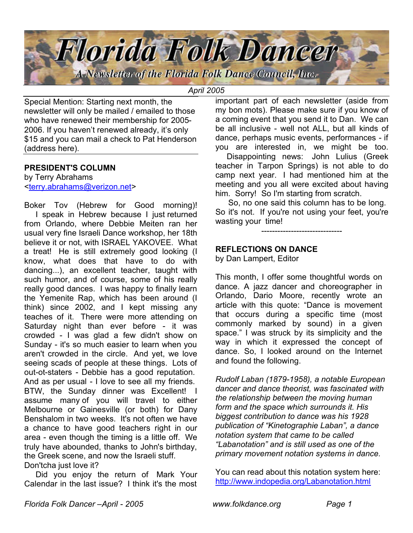

*April 2005*

Special Mention: Starting next month, the newsletter will only be mailed / emailed to those who have renewed their membership for 2005- 2006. If you haven't renewed already, it's only \$15 and you can mail a check to Pat Henderson (address here).

## **PRESIDENT'S COLUMN**

by Terry Abrahams <terry.abrahams@verizon.net>

Boker Tov (Hebrew for Good morning)! I speak in Hebrew because I just returned from Orlando, where Debbie Meiten ran her usual very fine Israeli Dance workshop, her 18th believe it or not, with ISRAEL YAKOVEE. What a treat! He is still extremely good looking (I know, what does that have to do with dancing...), an excellent teacher, taught with such humor, and of course, some of his really really good dances. I was happy to finally learn the Yemenite Rap, which has been around (I think) since 2002, and I kept missing any teaches of it. There were more attending on Saturday night than ever before - it was crowded - I was glad a few didn't show on Sunday - it's so much easier to learn when you aren't crowded in the circle. And yet, we love seeing scads of people at these things. Lots of out-ot-staters - Debbie has a good reputation. And as per usual - I love to see all my friends. BTW, the Sunday dinner was Excellent! I assume many of you will travel to either Melbourne or Gainesville (or both) for Dany Benshalom in two weeks. It's not often we have a chance to have good teachers right in our area - even though the timing is a little off. We truly have abounded, thanks to John's birthday, the Greek scene, and now the Israeli stuff. Don'tcha just love it?

 Did you enjoy the return of Mark Your Calendar in the last issue? I think it's the most important part of each newsletter (aside from my bon mots). Please make sure if you know of a coming event that you send it to Dan. We can be all inclusive - well not ALL, but all kinds of dance, perhaps music events, performances - if you are interested in, we might be too.

 Disappointing news: John Lulius (Greek teacher in Tarpon Springs) is not able to do camp next year. I had mentioned him at the meeting and you all were excited about having him. Sorry! So I'm starting from scratch.

 So, no one said this column has to be long. So it's not. If you're not using your feet, you're wasting your time!

------------------------------

# **REFLECTIONS ON DANCE**

by Dan Lampert, Editor

This month, I offer some thoughtful words on dance. A jazz dancer and choreographer in Orlando, Dario Moore, recently wrote an article with this quote: "Dance is movement that occurs during a specific time (most commonly marked by sound) in a given space." I was struck by its simplicity and the way in which it expressed the concept of dance. So, I looked around on the Internet and found the following.

*Rudolf Laban (1879-1958), a notable European dancer and dance theorist, was fascinated with the relationship between the moving human form and the space which surrounds it. His biggest contribution to dance was his 1928 publication of "Kinetographie Laban", a dance notation system that came to be called "Labanotation" and is still used as one of the primary movement notation systems in dance.*

You can read about this notation system here: http://www.indopedia.org/Labanotation.html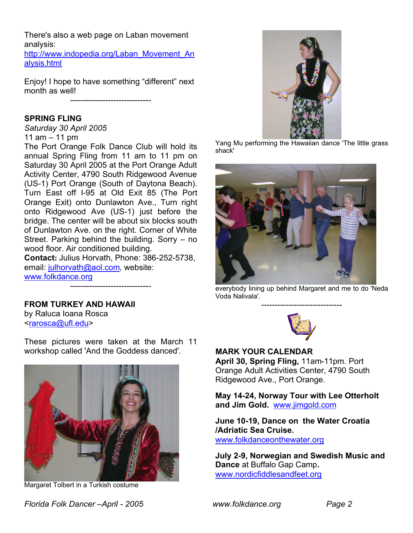There's also a web page on Laban movement analysis:

http://www.indopedia.org/Laban\_Movement\_An alysis.html

Enjoy! I hope to have something "different" next month as well!

------------------------------

# **SPRING FLING**

*Saturday 30 April 2005* 11 am – 11 pm

The Port Orange Folk Dance Club will hold its annual Spring Fling from 11 am to 11 pm on Saturday 30 April 2005 at the Port Orange Adult Activity Center, 4790 South Ridgewood Avenue (US-1) Port Orange (South of Daytona Beach). Turn East off I-95 at Old Exit 85 (The Port Orange Exit) onto Dunlawton Ave., Turn right onto Ridgewood Ave (US-1) just before the bridge. The center will be about six blocks south of Dunlawton Ave. on the right. Corner of White Street. Parking behind the building. Sorry – no wood floor. Air conditioned building. **Contact:** Julius Horvath, Phone: 386-252-5738, email: julhorvath@aol.com, website:

www.folkdance.org

**FROM TURKEY AND HAWAII**

by Raluca Ioana Rosca <rarosca@ufl.edu>

These pictures were taken at the March 11 workshop called 'And the Goddess danced'.

------------------------------



Margaret Tolbert in a Turkish costume



Yang Mu performing the Hawaiian dance 'The little grass shack'



everybody lining up behind Margaret and me to do 'Neda Voda Nalivala'. ------------------------------



#### **MARK YOUR CALENDAR**

**April 30, Spring Fling,** 11am-11pm. Port Orange Adult Activities Center, 4790 South Ridgewood Ave., Port Orange.

**May 14-24, Norway Tour with Lee Otterholt and Jim Gold.** www.jimgold.com

**June 10-19, Dance on the Water Croatia /Adriatic Sea Cruise.**  www.folkdanceonthewater.org

**July 2-9, Norwegian and Swedish Music and Dance** at Buffalo Gap Camp**.** www.nordicfiddlesandfeet.org

*Florida Folk Dancer –April - 2005 www.folkdance.org Page 2*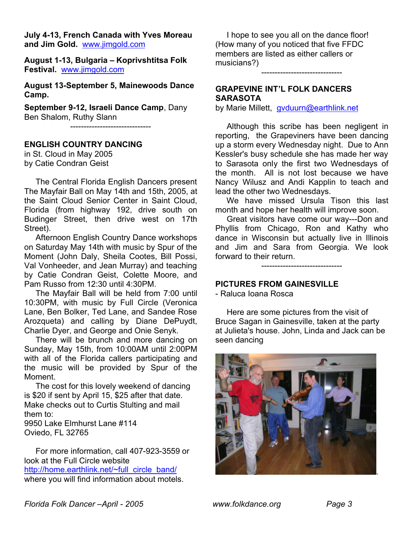**July 4-13, French Canada with Yves Moreau and Jim Gold.** www.jimgold.com

**August 1-13, Bulgaria – Koprivshtitsa Folk Festival.** www.jimgold.com

**August 13-September 5, Mainewoods Dance Camp.**

**September 9-12, Israeli Dance Camp**, Dany Ben Shalom, Ruthy Slann

------------------------------

#### **ENGLISH COUNTRY DANCING**

in St. Cloud in May 2005 by Catie Condran Geist

 The Central Florida English Dancers present The Mayfair Ball on May 14th and 15th, 2005, at the Saint Cloud Senior Center in Saint Cloud, Florida (from highway 192, drive south on Budinger Street, then drive west on 17th Street).

 Afternoon English Country Dance workshops on Saturday May 14th with music by Spur of the Moment (John Daly, Sheila Cootes, Bill Possi, Val Vonheeder, and Jean Murray) and teaching by Catie Condran Geist, Colette Moore, and Pam Russo from 12:30 until 4:30PM.

 The Mayfair Ball will be held from 7:00 until 10:30PM, with music by Full Circle (Veronica Lane, Ben Bolker, Ted Lane, and Sandee Rose Arozqueta) and calling by Diane DePuydt, Charlie Dyer, and George and Onie Senyk.

 There will be brunch and more dancing on Sunday, May 15th, from 10:00AM until 2:00PM with all of the Florida callers participating and the music will be provided by Spur of the Moment.

 The cost for this lovely weekend of dancing is \$20 if sent by April 15, \$25 after that date. Make checks out to Curtis Stulting and mail them to:

9950 Lake Elmhurst Lane #114 Oviedo, FL 32765

 For more information, call 407-923-3559 or look at the Full Circle website http://home.earthlink.net/~full\_circle\_band/ where you will find information about motels.

 I hope to see you all on the dance floor! (How many of you noticed that five FFDC members are listed as either callers or musicians?)

------------------------------

# **GRAPEVINE INT'L FOLK DANCERS SARASOTA**

by Marie Millett, gvduurn@earthlink.net

 Although this scribe has been negligent in reporting, the Grapeviners have been dancing up a storm every Wednesday night. Due to Ann Kessler's busy schedule she has made her way to Sarasota only the first two Wednesdays of the month. All is not lost because we have Nancy Wilusz and Andi Kapplin to teach and lead the other two Wednesdays.

 We have missed Ursula Tison this last month and hope her health will improve soon.

 Great visitors have come our way---Don and Phyllis from Chicago, Ron and Kathy who dance in Wisconsin but actually live in Illinois and Jim and Sara from Georgia. We look forward to their return.

------------------------------

### **PICTURES FROM GAINESVILLE**

- Raluca Ioana Rosca

 Here are some pictures from the visit of Bruce Sagan in Gainesville, taken at the party at Julieta's house. John, Linda and Jack can be seen dancing

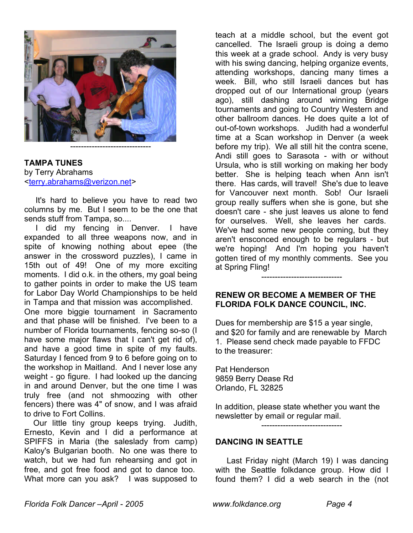

**TAMPA TUNES** by Terry Abrahams <terry.abrahams@verizon.net>

 It's hard to believe you have to read two columns by me. But I seem to be the one that sends stuff from Tampa, so....

 I did my fencing in Denver. I have expanded to all three weapons now, and in spite of knowing nothing about epee (the answer in the crossword puzzles), I came in 15th out of 49! One of my more exciting moments. I did o.k. in the others, my goal being to gather points in order to make the US team for Labor Day World Championships to be held in Tampa and that mission was accomplished. One more biggie tournament in Sacramento and that phase will be finished. I've been to a number of Florida tournaments, fencing so-so (I have some major flaws that I can't get rid of), and have a good time in spite of my faults. Saturday I fenced from 9 to 6 before going on to the workshop in Maitland. And I never lose any weight - go figure. I had looked up the dancing in and around Denver, but the one time I was

truly free (and not shmoozing with other fencers) there was 4" of snow, and I was afraid to drive to Fort Collins.

 Our little tiny group keeps trying. Judith, Ernesto, Kevin and I did a performance at SPIFFS in Maria (the saleslady from camp) Kaloy's Bulgarian booth. No one was there to watch, but we had fun rehearsing and got in free, and got free food and got to dance too. What more can you ask? I was supposed to

teach at a middle school, but the event got cancelled. The Israeli group is doing a demo this week at a grade school. Andy is very busy with his swing dancing, helping organize events, attending workshops, dancing many times a week. Bill, who still Israeli dances but has dropped out of our International group (years ago), still dashing around winning Bridge tournaments and going to Country Western and other ballroom dances. He does quite a lot of out-of-town workshops. Judith had a wonderful time at a Scan workshop in Denver (a week before my trip). We all still hit the contra scene, Andi still goes to Sarasota - with or without Ursula, who is still working on making her body better. She is helping teach when Ann isn't there. Has cards, will travel! She's due to leave for Vancouver next month. Sob! Our Israeli group really suffers when she is gone, but she doesn't care - she just leaves us alone to fend for ourselves. Well, she leaves her cards. We've had some new people coming, but they aren't ensconced enough to be regulars - but we're hoping! And I'm hoping you haven't gotten tired of my monthly comments. See you at Spring Fling!

## **RENEW OR BECOME A MEMBER OF THE FLORIDA FOLK DANCE COUNCIL, INC.**

------------------------------

Dues for membership are \$15 a year single, and \$20 for family and are renewable by March 1. Please send check made payable to FFDC to the treasurer:

Pat Henderson 9859 Berry Dease Rd Orlando, FL 32825

In addition, please state whether you want the newsletter by email or regular mail.

------------------------------

#### **DANCING IN SEATTLE**

 Last Friday night (March 19) I was dancing with the Seattle folkdance group. How did I found them? I did a web search in the (not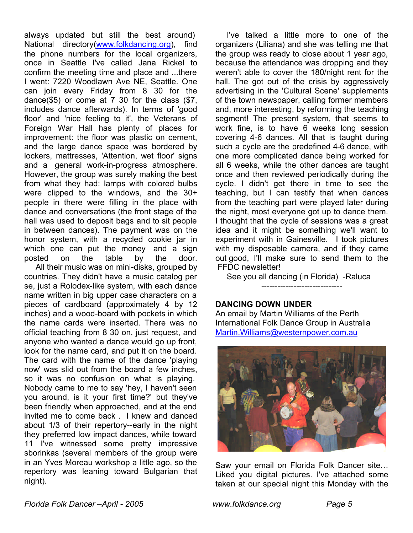always updated but still the best around) National directory(www.folkdancing.org), find the phone numbers for the local organizers, once in Seattle I've called Jana Rickel to confirm the meeting time and place and ...there I went: 7220 Woodlawn Ave NE, Seattle. One can join every Friday from 8 30 for the dance(\$5) or come at 7 30 for the class (\$7, includes dance afterwards). In terms of 'good floor' and 'nice feeling to it', the Veterans of Foreign War Hall has plenty of places for improvement: the floor was plastic on cement, and the large dance space was bordered by lockers, mattresses, 'Attention, wet floor' signs and a general work-in-progress atmosphere. However, the group was surely making the best from what they had: lamps with colored bulbs were clipped to the windows, and the 30+ people in there were filling in the place with dance and conversations (the front stage of the hall was used to deposit bags and to sit people in between dances). The payment was on the honor system, with a recycled cookie jar in which one can put the money and a sign posted on the table by the door.

 All their music was on mini-disks, grouped by countries. They didn't have a music catalog per se, just a Rolodex-like system, with each dance name written in big upper case characters on a pieces of cardboard (approximately 4 by 12 inches) and a wood-board with pockets in which the name cards were inserted. There was no official teaching from 8 30 on, just request, and anyone who wanted a dance would go up front, look for the name card, and put it on the board. The card with the name of the dance 'playing now' was slid out from the board a few inches, so it was no confusion on what is playing. Nobody came to me to say 'hey, I haven't seen you around, is it your first time?' but they've been friendly when approached, and at the end invited me to come back . I knew and danced about 1/3 of their repertory--early in the night they preferred low impact dances, while toward 11 I've witnessed some pretty impressive sborinkas (several members of the group were in an Yves Moreau workshop a little ago, so the repertory was leaning toward Bulgarian that night).

 I've talked a little more to one of the organizers (Liliana) and she was telling me that the group was ready to close about 1 year ago, because the attendance was dropping and they weren't able to cover the 180/night rent for the hall. The got out of the crisis by aggressively advertising in the 'Cultural Scene' supplements of the town newspaper, calling former members and, more interesting, by reforming the teaching segment! The present system, that seems to work fine, is to have 6 weeks long session covering 4-6 dances. All that is taught during such a cycle are the predefined 4-6 dance, with one more complicated dance being worked for all 6 weeks, while the other dances are taught once and then reviewed periodically during the cycle. I didn't get there in time to see the teaching, but I can testify that when dances from the teaching part were played later during the night, most everyone got up to dance them. I thought that the cycle of sessions was a great idea and it might be something we'll want to experiment with in Gainesville. I took pictures with my disposable camera, and if they came out good, I'll make sure to send them to the FFDC newsletter!

 See you all dancing (in Florida) -Raluca ------------------------------

# **DANCING DOWN UNDER**

An email by Martin Williams of the Perth International Folk Dance Group in Australia Martin.Williams@westernpower.com.au



Saw your email on Florida Folk Dancer site… Liked you digital pictures. I've attached some taken at our special night this Monday with the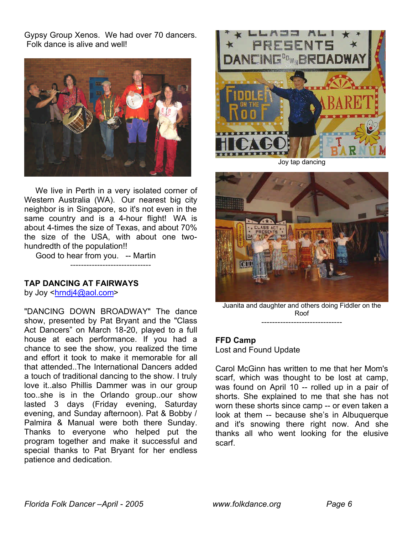Gypsy Group Xenos. We had over 70 dancers. Folk dance is alive and well!



 We live in Perth in a very isolated corner of Western Australia (WA). Our nearest big city neighbor is in Singapore, so it's not even in the same country and is a 4-hour flight! WA is about 4-times the size of Texas, and about 70% the size of the USA, with about one twohundredth of the population!!

Good to hear from you. -- Martin ------------------------------

### **TAP DANCING AT FAIRWAYS**

by Joy <hrndj4@aol.com>

"DANCING DOWN BROADWAY" The dance show, presented by Pat Bryant and the "Class Act Dancers" on March 18-20, played to a full house at each performance. If you had a chance to see the show, you realized the time and effort it took to make it memorable for all that attended..The International Dancers added a touch of traditional dancing to the show. I truly love it..also Phillis Dammer was in our group too..she is in the Orlando group..our show lasted 3 days (Friday evening, Saturday evening, and Sunday afternoon). Pat & Bobby / Palmira & Manual were both there Sunday. Thanks to everyone who helped put the program together and make it successful and special thanks to Pat Bryant for her endless patience and dedication.



Joy tap dancing



Juanita and daughter and others doing Fiddler on the Roof ------------------------------

# **FFD Camp**

Lost and Found Update

Carol McGinn has written to me that her Mom's scarf, which was thought to be lost at camp, was found on April 10 -- rolled up in a pair of shorts. She explained to me that she has not worn these shorts since camp -- or even taken a look at them -- because she's in Albuquerque and it's snowing there right now. And she thanks all who went looking for the elusive scarf.